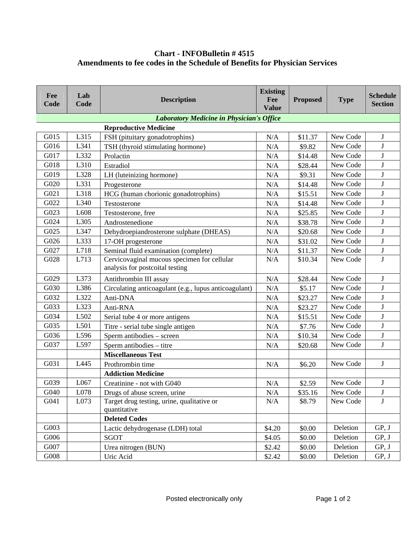## **Chart - INFOBulletin # 4515 Amendments to fee codes in the Schedule of Benefits for Physician Services**

| Fee<br>Code                                      | Lab<br>Code | <b>Description</b>                                                             | <b>Existing</b><br>Fee<br><b>Value</b> | <b>Proposed</b> | <b>Type</b> | <b>Schedule</b><br><b>Section</b> |  |  |  |  |
|--------------------------------------------------|-------------|--------------------------------------------------------------------------------|----------------------------------------|-----------------|-------------|-----------------------------------|--|--|--|--|
| <b>Laboratory Medicine in Physician's Office</b> |             |                                                                                |                                        |                 |             |                                   |  |  |  |  |
| G015                                             | L315        | <b>Reproductive Medicine</b><br>FSH (pituitary gonadotrophins)                 | N/A                                    | \$11.37         | New Code    | $\mathbf J$                       |  |  |  |  |
| G016                                             | L341        | TSH (thyroid stimulating hormone)                                              | $\rm N/A$                              | \$9.82          | New Code    | J                                 |  |  |  |  |
| G017                                             | L332        | Prolactin                                                                      | N/A                                    | \$14.48         | New Code    | $\bf J$                           |  |  |  |  |
| G018                                             | L310        | Estradiol                                                                      | N/A                                    | \$28.44         | New Code    | $\bf J$                           |  |  |  |  |
| G019                                             | L328        | LH (luteinizing hormone)                                                       | $\rm N/A$                              | \$9.31          | New Code    | $\bf J$                           |  |  |  |  |
| G020                                             | L331        | Progesterone                                                                   | N/A                                    | \$14.48         | New Code    | J                                 |  |  |  |  |
| G021                                             | L318        | HCG (human chorionic gonadotrophins)                                           | N/A                                    | \$15.51         | New Code    | J                                 |  |  |  |  |
| G022                                             | L340        | Testosterone                                                                   | $\rm N/A$                              | \$14.48         | New Code    | $\mathbf{J}$                      |  |  |  |  |
| G023                                             | L608        | Testosterone, free                                                             | N/A                                    | \$25.85         | New Code    | J                                 |  |  |  |  |
| G024                                             | L305        | Androstenedione                                                                | N/A                                    | \$38.78         | New Code    | $\bf J$                           |  |  |  |  |
| G025                                             | L347        | Dehydroepiandrosterone sulphate (DHEAS)                                        | $\rm N/A$                              | \$20.68         | New Code    | $\bf J$                           |  |  |  |  |
| G026                                             | L333        | 17-OH progesterone                                                             | N/A                                    | \$31.02         | New Code    | $\bf J$                           |  |  |  |  |
| G027                                             | L718        | Seminal fluid examination (complete)                                           | N/A                                    | \$11.37         | New Code    | $\bf J$                           |  |  |  |  |
| G028                                             | L713        | Cervicovaginal mucous specimen for cellular<br>analysis for postcoital testing | N/A                                    | \$10.34         | New Code    | $\mathbf{J}$                      |  |  |  |  |
| G029                                             | L373        | Antithrombin III assay                                                         | N/A                                    | \$28.44         | New Code    | J                                 |  |  |  |  |
| G030                                             | L386        | Circulating anticoagulant (e.g., lupus anticoagulant)                          | $\rm N/A$                              | \$5.17          | New Code    | $\bf J$                           |  |  |  |  |
| G032                                             | L322        | Anti-DNA                                                                       | N/A                                    | \$23.27         | New Code    | J                                 |  |  |  |  |
| G033                                             | L323        | Anti-RNA                                                                       | N/A                                    | \$23.27         | New Code    | $\bf J$                           |  |  |  |  |
| G034                                             | L502        | Serial tube 4 or more antigens                                                 | N/A                                    | \$15.51         | New Code    | J                                 |  |  |  |  |
| G035                                             | L501        | Titre - serial tube single antigen                                             | N/A                                    | \$7.76          | New Code    | J                                 |  |  |  |  |
| G036                                             | L596        | Sperm antibodies – screen                                                      | N/A                                    | \$10.34         | New Code    | J                                 |  |  |  |  |
| G037                                             | L597        | Sperm antibodies - titre                                                       | N/A                                    | \$20.68         | New Code    | J                                 |  |  |  |  |
|                                                  |             | <b>Miscellaneous Test</b>                                                      |                                        |                 |             |                                   |  |  |  |  |
| G031                                             | L445        | Prothrombin time                                                               | N/A                                    | \$6.20          | New Code    | $\mathbf J$                       |  |  |  |  |
|                                                  |             | <b>Addiction Medicine</b>                                                      |                                        |                 |             |                                   |  |  |  |  |
| G039                                             | L067        | Creatinine - not with G040                                                     | N/A                                    | \$2.59          | New Code    | $\bf J$                           |  |  |  |  |
| G040                                             | L078        | Drugs of abuse screen, urine                                                   | N/A                                    | \$35.16         | New Code    | J                                 |  |  |  |  |
| G041                                             | L073        | Target drug testing, urine, qualitative or<br>quantitative                     | N/A                                    | \$8.79          | New Code    | J                                 |  |  |  |  |
|                                                  |             | <b>Deleted Codes</b>                                                           |                                        |                 |             |                                   |  |  |  |  |
| G003                                             |             | Lactic dehydrogenase (LDH) total                                               | \$4.20                                 | \$0.00          | Deletion    | GP, J                             |  |  |  |  |
| G006                                             |             | SGOT                                                                           | \$4.05                                 | \$0.00          | Deletion    | GP, J                             |  |  |  |  |
| G007                                             |             | Urea nitrogen (BUN)                                                            | \$2.42                                 | \$0.00          | Deletion    | GP, J                             |  |  |  |  |
| G008                                             |             | Uric Acid                                                                      | \$2.42                                 | \$0.00          | Deletion    | GP, J                             |  |  |  |  |